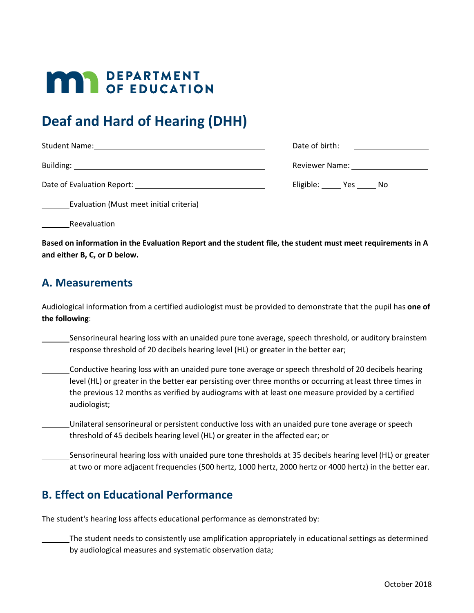# **MAR** DEPARTMENT

## **Deaf and Hard of Hearing (DHH)**

| <b>Student Name:</b>       | Date of birth: |
|----------------------------|----------------|
|                            |                |
| Building:                  | Reviewer Name: |
| Date of Evaluation Report: | Eligible: Yes  |
|                            | No.            |

Evaluation (Must meet initial criteria)

Reevaluation

**Based on information in the Evaluation Report and the student file, the student must meet requirements in A and either B, C, or D below.**

#### **A. Measurements**

Audiological information from a certified audiologist must be provided to demonstrate that the pupil has **one of the following**:

Sensorineural hearing loss with an unaided pure tone average, speech threshold, or auditory brainstem response threshold of 20 decibels hearing level (HL) or greater in the better ear;

Conductive hearing loss with an unaided pure tone average or speech threshold of 20 decibels hearing level (HL) or greater in the better ear persisting over three months or occurring at least three times in the previous 12 months as verified by audiograms with at least one measure provided by a certified audiologist;

Unilateral sensorineural or persistent conductive loss with an unaided pure tone average or speech threshold of 45 decibels hearing level (HL) or greater in the affected ear; or

Sensorineural hearing loss with unaided pure tone thresholds at 35 decibels hearing level (HL) or greater at two or more adjacent frequencies (500 hertz, 1000 hertz, 2000 hertz or 4000 hertz) in the better ear.

#### **B. Effect on Educational Performance**

The student's hearing loss affects educational performance as demonstrated by:

The student needs to consistently use amplification appropriately in educational settings as determined by audiological measures and systematic observation data;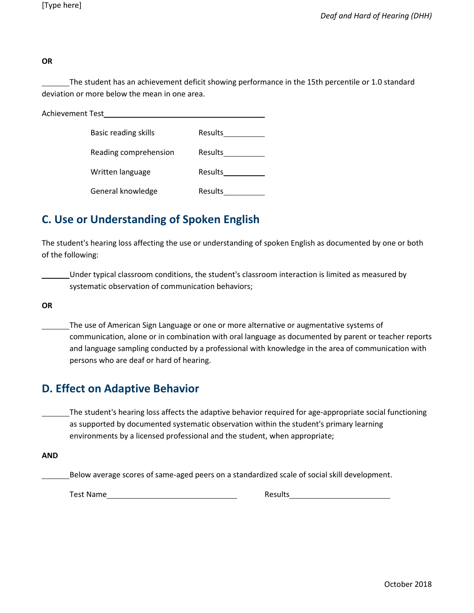**OR**

The student has an achievement deficit showing performance in the 15th percentile or 1.0 standard deviation or more below the mean in one area.

| Achievement Test |                       |                |
|------------------|-----------------------|----------------|
|                  | Basic reading skills  | <b>Results</b> |
|                  | Reading comprehension | <b>Results</b> |
|                  | Written language      | <b>Results</b> |
|                  | General knowledge     | <b>Results</b> |

### **C. Use or Understanding of Spoken English**

The student's hearing loss affecting the use or understanding of spoken English as documented by one or both of the following:

Under typical classroom conditions, the student's classroom interaction is limited as measured by systematic observation of communication behaviors;

**OR**

The use of American Sign Language or one or more alternative or augmentative systems of communication, alone or in combination with oral language as documented by parent or teacher reports and language sampling conducted by a professional with knowledge in the area of communication with persons who are deaf or hard of hearing.

#### **D. Effect on Adaptive Behavior**

The student's hearing loss affects the adaptive behavior required for age-appropriate social functioning as supported by documented systematic observation within the student's primary learning environments by a licensed professional and the student, when appropriate;

**AND**

Below average scores of same-aged peers on a standardized scale of social skill development.

Test Name **Results Results**